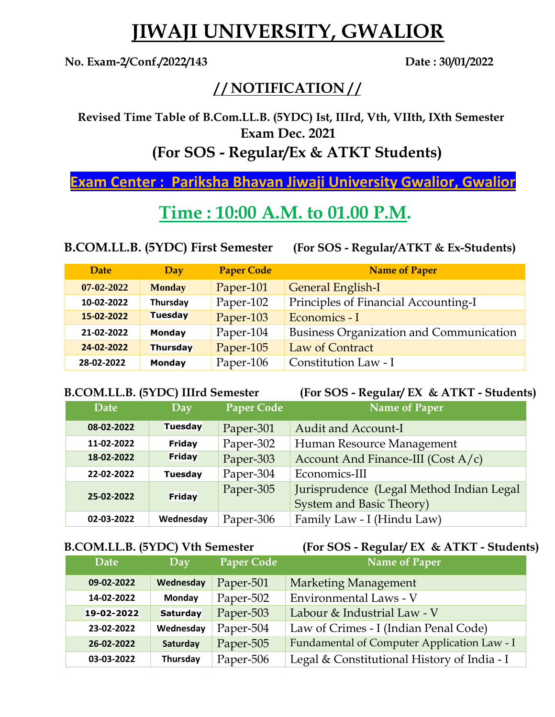# **JIWAJI UNIVERSITY, GWALIOR**

**No. Exam-2/Conf./2022/143 Date : 30/01/2022**

### **/ / NOTIFICATION / /**

 **Revised Time Table of B.Com.LL.B. (5YDC) Ist, IIIrd, Vth, VIIth, IXth Semester Exam Dec. 2021**

## **(For SOS - Regular/Ex & ATKT Students)**

### **Exam Center : Pariksha Bhavan Jiwaji University Gwalior, Gwalior**

## **Time : 10:00 A.M. to 01.00 P.M.**

**B.COM.LL.B. (5YDC) First Semester (For SOS - Regular/ATKT & Ex-Students)**

| <b>Date</b>      | Day           | <b>Paper Code</b> | <b>Name of Paper</b>                    |
|------------------|---------------|-------------------|-----------------------------------------|
| $07 - 02 - 2022$ | <b>Monday</b> | Paper-101         | <b>General English-I</b>                |
| 10-02-2022       | Thursday      | Paper-102         | Principles of Financial Accounting-I    |
| 15-02-2022       | Tuesday       | Paper-103         | Economics - I                           |
| 21-02-2022       | <b>Monday</b> | Paper-104         | Business Organization and Communication |
| 24-02-2022       | Thursday      | Paper-105         | Law of Contract                         |
| 28-02-2022       | <b>Monday</b> | Paper-106         | Constitution Law - I                    |

**B.COM.LL.B. (5YDC) IIIrd Semester (For SOS - Regular/ EX & ATKT - Students)**

| Date       | Day            | <b>Paper Code</b> | <b>Name of Paper</b>                                                 |
|------------|----------------|-------------------|----------------------------------------------------------------------|
| 08-02-2022 | <b>Tuesday</b> | Paper-301         | Audit and Account-I                                                  |
| 11-02-2022 | <b>Friday</b>  | Paper-302         | Human Resource Management                                            |
| 18-02-2022 | Friday         | Paper-303         | Account And Finance-III (Cost $A/c$ )                                |
| 22-02-2022 | <b>Tuesday</b> | Paper-304         | Economics-III                                                        |
| 25-02-2022 | Friday         | Paper-305         | Jurisprudence (Legal Method Indian Legal<br>System and Basic Theory) |
| 02-03-2022 | Wednesday      | Paper-306         | Family Law - I (Hindu Law)                                           |

### **B.COM.LL.B. (5YDC) Vth Semester (For SOS - Regular/ EX & ATKT - Students)**

| <b>Date</b> | Day             | <b>Paper Code</b> | <b>Name of Paper</b>                        |
|-------------|-----------------|-------------------|---------------------------------------------|
| 09-02-2022  | Wednesday       | Paper-501         | Marketing Management                        |
| 14-02-2022  | Monday          | Paper-502         | Environmental Laws - V                      |
| 19-02-2022  | <b>Saturday</b> | Paper-503         | Labour & Industrial Law - V                 |
| 23-02-2022  | Wednesday       | Paper-504         | Law of Crimes - I (Indian Penal Code)       |
| 26-02-2022  | Saturday        | Paper-505         | Fundamental of Computer Application Law - I |
| 03-03-2022  | Thursday        | Paper-506         | Legal & Constitutional History of India - I |